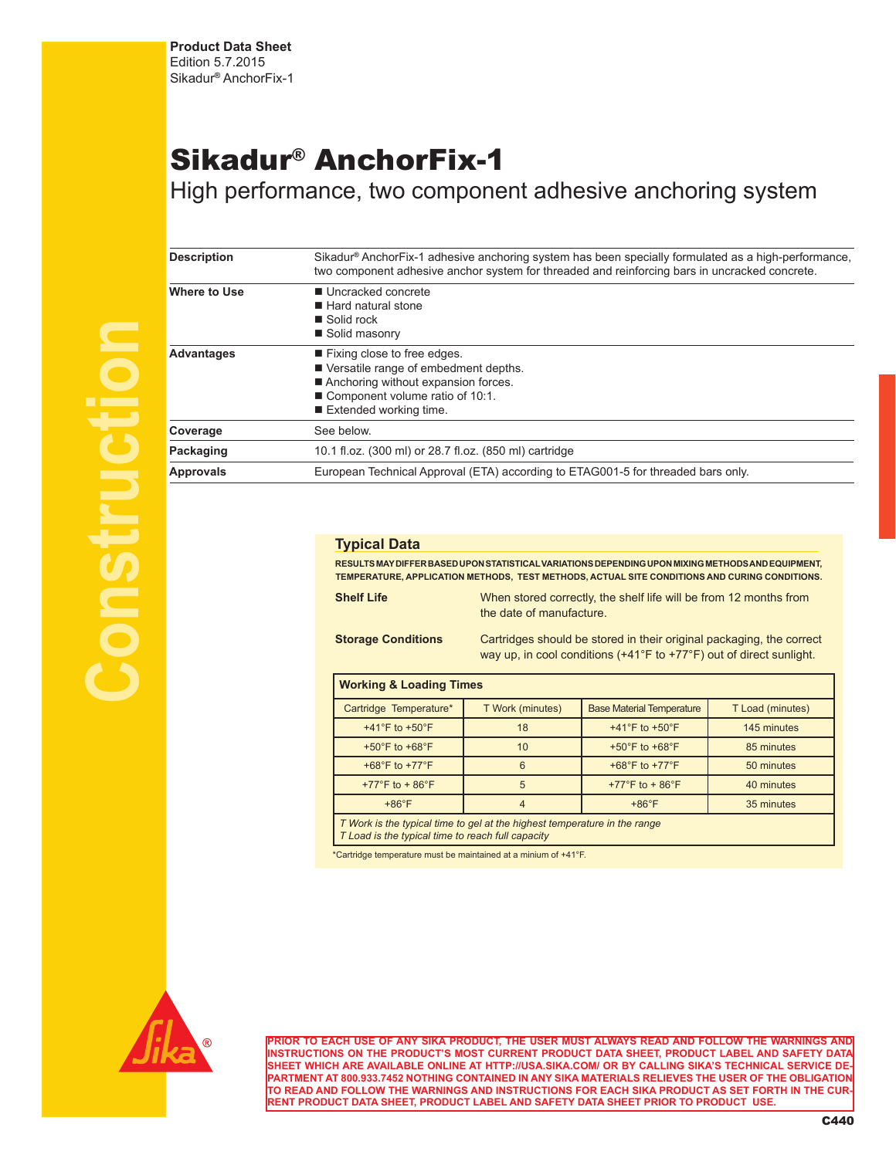# Sikadur® AnchorFix-1

High performance, two component adhesive anchoring system

**Description** Sikadur**®** AnchorFix-1 adhesive anchoring system has been specially formulated as a high-performance,

| Description  | Sikadur® AnchorFix-1 adnesive anchoring system has been specially formulated as a high-performance,<br>two component adhesive anchor system for threaded and reinforcing bars in uncracked concrete. |
|--------------|------------------------------------------------------------------------------------------------------------------------------------------------------------------------------------------------------|
| Where to Use | ■ Uncracked concrete<br>■ Hard natural stone<br>$\blacksquare$ Solid rock<br>Solid masonry                                                                                                           |
| Advantages   | ■ Fixing close to free edges.<br>Versatile range of embedment depths.<br>Anchoring without expansion forces.<br>■ Component volume ratio of 10:1.<br>■ Extended working time.                        |
| Coverage     | See below.                                                                                                                                                                                           |
| Packaging    | 10.1 fl.oz. (300 ml) or 28.7 fl.oz. (850 ml) cartridge                                                                                                                                               |
| Approvals    | European Technical Approval (ETA) according to ETAG001-5 for threaded bars only.                                                                                                                     |
|              |                                                                                                                                                                                                      |

# **Typical Data**

**RESULTS MAY DIFFER BASED UPON STATISTICAL VARIATIONS DEPENDING UPON MIXING METHODS AND EQUIPMENT, TEMPERATURE, APPLICATION METHODS, TEST METHODS, ACTUAL SITE CONDITIONS AND CURING CONDITIONS.** 

**Shelf Life** When stored correctly, the shelf life will be from 12 months from the date of manufacture.

**Storage Conditions** Cartridges should be stored in their original packaging, the correct way up, in cool conditions (+41°F to +77°F) out of direct sunlight.

| <b>Working &amp; Loading Times</b>                                                                                             |                  |                                    |                  |  |  |  |  |  |  |
|--------------------------------------------------------------------------------------------------------------------------------|------------------|------------------------------------|------------------|--|--|--|--|--|--|
| Cartridge Temperature*                                                                                                         | T Work (minutes) | <b>Base Material Temperature</b>   | T Load (minutes) |  |  |  |  |  |  |
| $+41^{\circ}$ F to $+50^{\circ}$ F                                                                                             | 18               | $+41^{\circ}$ F to $+50^{\circ}$ F | 145 minutes      |  |  |  |  |  |  |
| +50 $\degree$ F to +68 $\degree$ F                                                                                             | 10               | +50 $\degree$ F to +68 $\degree$ F | 85 minutes       |  |  |  |  |  |  |
| +68 $\degree$ F to +77 $\degree$ F                                                                                             | 6                | +68 $\degree$ F to +77 $\degree$ F | 50 minutes       |  |  |  |  |  |  |
| +77 $\degree$ F to +86 $\degree$ F                                                                                             | 5                | +77 $\degree$ F to +86 $\degree$ F | 40 minutes       |  |  |  |  |  |  |
| $+86^{\circ}$ F                                                                                                                | 4                | $+86^{\circ}$ F                    | 35 minutes       |  |  |  |  |  |  |
| T Work is the typical time to gel at the highest temperature in the range<br>T Load is the typical time to reach full capacity |                  |                                    |                  |  |  |  |  |  |  |

\*Cartridge temperature must be maintained at a minium of +41°F.

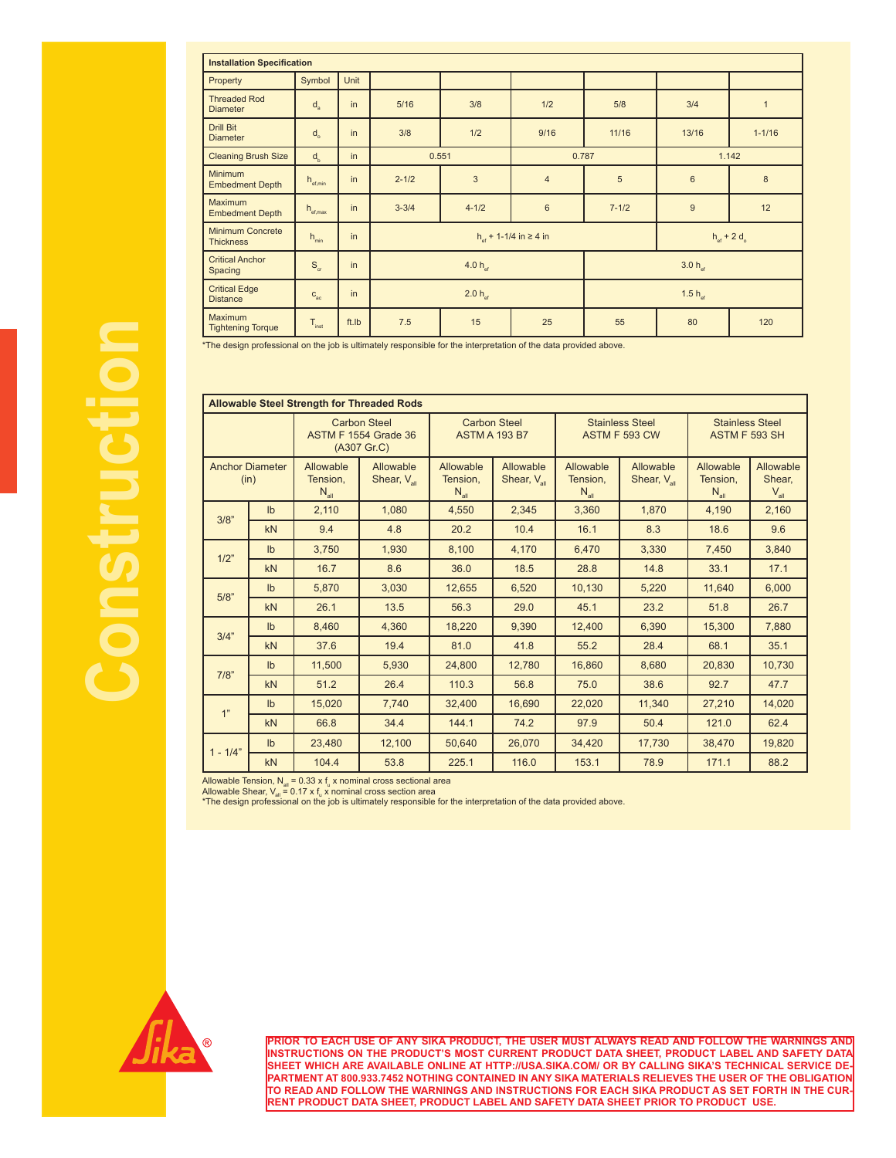| <b>Installation Specification</b>           |                           |       |           |                     |                                 |                     |                     |                                  |  |  |  |
|---------------------------------------------|---------------------------|-------|-----------|---------------------|---------------------------------|---------------------|---------------------|----------------------------------|--|--|--|
| Property                                    | Symbol                    | Unit  |           |                     |                                 |                     |                     |                                  |  |  |  |
| <b>Threaded Rod</b><br><b>Diameter</b>      | $\mathsf{d}_{\mathsf{a}}$ | in    | 5/16      | 3/8                 | 1/2                             | 5/8                 | 3/4                 | $\mathbf{1}$                     |  |  |  |
| Drill Bit<br><b>Diameter</b>                | $d_{o}$                   | in    | 3/8       | 1/2                 | 9/16                            | 11/16               | 13/16               | $1 - 1/16$                       |  |  |  |
| <b>Cleaning Brush Size</b>                  | $d_{h}$                   | in    | 0.551     |                     |                                 | 0.787               | 1.142               |                                  |  |  |  |
| Minimum<br><b>Embedment Depth</b>           | $h_{\text{ef,min}}$       | in    | $2 - 1/2$ | 3                   | $\overline{4}$                  | 5                   | 6                   | 8                                |  |  |  |
| <b>Maximum</b><br><b>Embedment Depth</b>    | $h_{\text{ef,max}}$       | in    | $3 - 3/4$ | $4 - 1/2$           | $6\phantom{1}$                  | $7 - 1/2$           | 9                   | 12                               |  |  |  |
| <b>Minimum Concrete</b><br><b>Thickness</b> | $h_{min}$                 | in    |           |                     | $h_{st}$ + 1-1/4 in $\geq$ 4 in |                     |                     | $h_{\text{ef}} + 2 d_{\text{o}}$ |  |  |  |
| <b>Critical Anchor</b><br>Spacing           | $S_{\alpha}$              | in    |           | 4.0 $h_{\text{ef}}$ |                                 |                     | 3.0 $h_{\text{ef}}$ |                                  |  |  |  |
| <b>Critical Edge</b><br><b>Distance</b>     | $C_{\rm ac}$              | in    |           | 2.0 $h_{\text{ef}}$ |                                 | 1.5 $h_{\text{ef}}$ |                     |                                  |  |  |  |
| Maximum<br><b>Tightening Torque</b>         | $T_{inst}$                | ft.Ib | 7.5       | 15                  | 25                              | 55                  | 80                  | 120                              |  |  |  |

\*The design professional on the job is ultimately responsible for the interpretation of the data provided above.

| <b>Allowable Steel Strength for Threaded Rods</b> |                         |                                    |                                                                   |                                    |                                      |                                                                            |                                         |                                         |                                  |  |  |
|---------------------------------------------------|-------------------------|------------------------------------|-------------------------------------------------------------------|------------------------------------|--------------------------------------|----------------------------------------------------------------------------|-----------------------------------------|-----------------------------------------|----------------------------------|--|--|
|                                                   |                         |                                    | <b>Carbon Steel</b><br><b>ASTM F 1554 Grade 36</b><br>(A307 Gr.C) | <b>ASTM A 193 B7</b>               | <b>Carbon Steel</b>                  |                                                                            | <b>Stainless Steel</b><br>ASTM F 593 CW | <b>Stainless Steel</b><br>ASTM F 593 SH |                                  |  |  |
| <b>Anchor Diameter</b><br>(in)                    |                         | Allowable<br>Tension,<br>$N_{all}$ | Allowable<br>Shear, $V_{\text{all}}$                              | Allowable<br>Tension,<br>$N_{all}$ | Allowable<br>Shear, V <sub>all</sub> | Allowable<br>Allowable<br>Tension,<br>Shear, $V_{\text{all}}$<br>$N_{all}$ |                                         | Allowable<br>Tension,<br>$N_{all}$      | Allowable<br>Shear,<br>$V_{all}$ |  |  |
| 3/8"                                              | I <sub>b</sub>          | 2,110                              | 1.080                                                             | 4,550                              | 2,345                                | 3,360                                                                      | 1.870                                   | 4,190                                   | 2,160                            |  |  |
|                                                   | kN                      | 9.4                                | 4.8                                                               | 20.2                               | 10.4                                 | 16.1                                                                       | 8.3                                     | 18.6                                    | 9.6                              |  |  |
| 1/2"                                              | I <sub>b</sub>          | 3.750                              | 1.930                                                             | 8.100                              | 4,170                                | 6.470                                                                      | 3,330                                   | 7,450                                   | 3.840                            |  |  |
|                                                   | kN                      | 16.7                               | 8.6                                                               | 36.0                               | 18.5                                 | 28.8                                                                       | 14.8                                    | 33.1                                    | 17.1                             |  |  |
| 5/8"                                              | I <sub>b</sub><br>5.870 |                                    | 3,030                                                             | 12,655                             | 6,520                                | 10,130                                                                     | 5,220                                   | 11,640                                  | 6,000                            |  |  |
|                                                   | kN                      | 26.1                               | 13.5                                                              | 56.3                               | 29.0                                 | 45.1                                                                       | 23.2                                    | 51.8                                    | 26.7                             |  |  |
| 3/4"                                              | I <sub>b</sub>          | 8.460                              | 4.360                                                             | 18.220                             | 9.390                                | 12.400                                                                     | 6.390                                   | 15.300                                  | 7.880                            |  |  |
|                                                   | kN                      | 37.6                               | 19.4                                                              | 81.0                               | 41.8                                 | 55.2                                                                       | 28.4                                    | 68.1                                    | 35.1                             |  |  |
| 7/8"                                              | I <sub>b</sub>          | 11.500                             | 5.930                                                             | 24.800                             | 12,780                               | 16,860                                                                     | 8.680                                   | 20,830                                  | 10,730                           |  |  |
|                                                   | kN                      | 51.2                               | 26.4                                                              | 110.3                              | 56.8                                 | 75.0                                                                       | 38.6                                    | 92.7                                    | 47.7                             |  |  |
| 1"                                                | I <sub>b</sub>          | 15.020                             | 7.740                                                             | 32.400                             | 16.690                               | 22.020                                                                     | 11.340                                  | 27.210                                  | 14.020                           |  |  |
|                                                   | kN                      | 66.8                               | 34.4                                                              | 144.1                              | 74.2                                 | 97.9                                                                       | 50.4                                    | 121.0                                   | 62.4                             |  |  |
| $1 - 1/4"$                                        | I <sub>b</sub>          | 23,480                             | 12,100                                                            | 50,640                             | 26,070                               | 34,420                                                                     | 17,730                                  | 38,470                                  | 19,820                           |  |  |
|                                                   | kN                      | 104.4                              | 53.8                                                              | 225.1                              | 116.0                                | 153.1                                                                      | 78.9                                    | 171.1                                   | 88.2                             |  |  |

Allowable Tension, N<sub>ai</sub> = 0.33 x f<sub>u</sub> x nominal cross sectional area<br>Allowable Shear, V<sub>ai</sub> = 0.17 x f<sub>u</sub> x nominal cross section area<br>\*The design professional on the job is ultimately responsible for the interpretation o

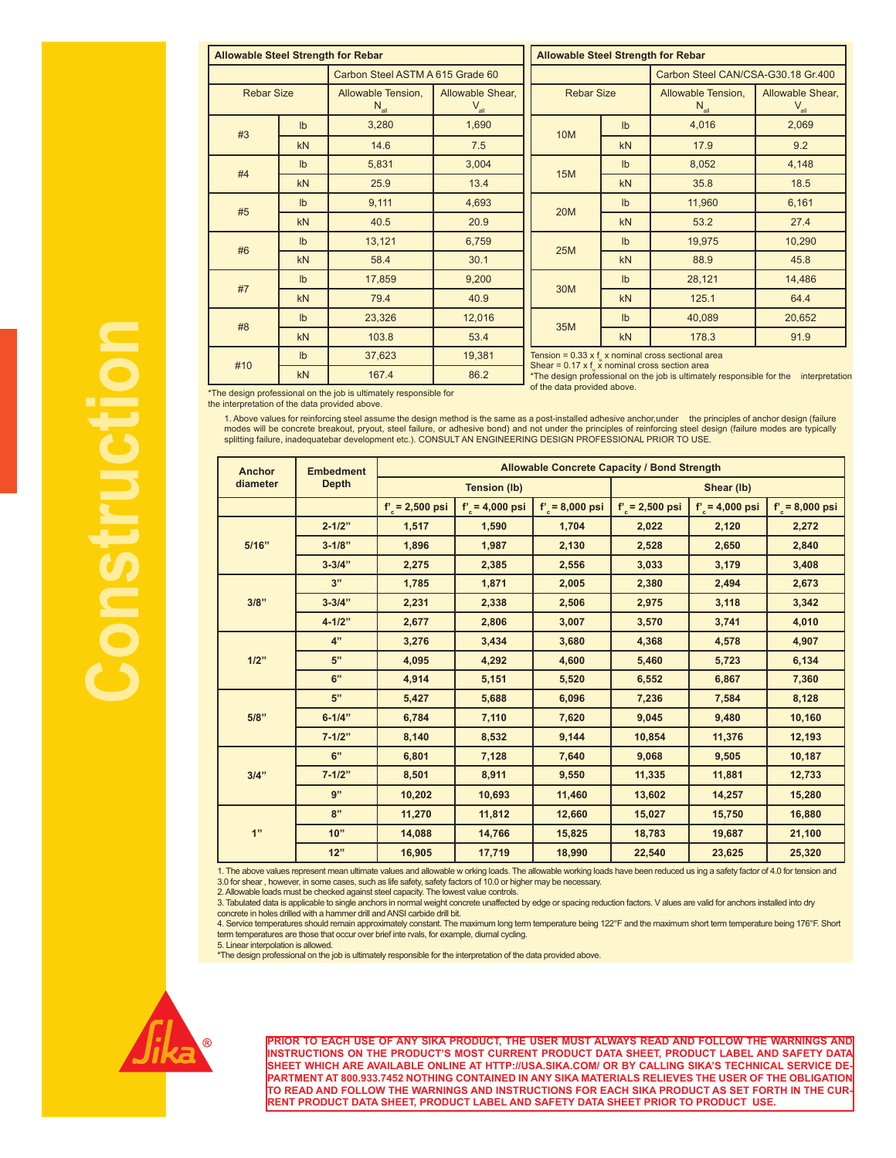| <b>Allowable Steel Strength for Rebar</b> |                                  |                                 | <b>Allowable Steel Strength for Rebar</b> |                                    |                                                                                                                                              |                                                            |                               |  |  |
|-------------------------------------------|----------------------------------|---------------------------------|-------------------------------------------|------------------------------------|----------------------------------------------------------------------------------------------------------------------------------------------|------------------------------------------------------------|-------------------------------|--|--|
|                                           | Carbon Steel ASTM A 615 Grade 60 |                                 |                                           | Carbon Steel CAN/CSA-G30.18 Gr.400 |                                                                                                                                              |                                                            |                               |  |  |
| <b>Rebar Size</b>                         |                                  | Allowable Tension,<br>$N_{all}$ | Allowable Shear,<br>$V_{all}$             | <b>Rebar Size</b>                  |                                                                                                                                              | Allowable Tension,<br>$N_{all}$                            | Allowable Shear,<br>$V_{all}$ |  |  |
| #3                                        | I <sub>b</sub>                   | 3,280                           | 1,690                                     | <b>10M</b>                         | I <sub>b</sub>                                                                                                                               | 4,016                                                      | 2,069                         |  |  |
|                                           | kN                               | 14.6                            | 7.5                                       |                                    | kN                                                                                                                                           | 17.9                                                       | 9.2                           |  |  |
|                                           | I <sub>b</sub>                   | 5,831                           | 3,004                                     |                                    | I <sub>b</sub>                                                                                                                               | 8,052                                                      | 4,148                         |  |  |
| #4                                        | kN                               | 25.9                            | 13.4                                      | <b>15M</b>                         | kN                                                                                                                                           | 35.8                                                       | 18.5                          |  |  |
|                                           | I <sub>b</sub>                   | 9,111                           | 4,693                                     | <b>20M</b>                         | I <sub>b</sub>                                                                                                                               | 11,960                                                     | 6,161                         |  |  |
| #5                                        | kN                               | 40.5                            | 20.9                                      |                                    | kN                                                                                                                                           | 53.2                                                       | 27.4                          |  |  |
| #6                                        | $\mathsf{lb}$                    | 13,121                          | 6,759                                     | <b>25M</b>                         | $\mathsf{lb}$                                                                                                                                | 19,975                                                     | 10,290                        |  |  |
|                                           | kN                               | 58.4                            | 30.1                                      |                                    | kN                                                                                                                                           | 88.9                                                       | 45.8                          |  |  |
| #7                                        | I <sub>b</sub>                   | 17,859                          | 9,200                                     |                                    | $\mathsf{lb}$                                                                                                                                | 28,121                                                     | 14,486                        |  |  |
|                                           | kN                               | 79.4                            | 40.9                                      | 30M                                | kN                                                                                                                                           | 125.1                                                      | 64.4                          |  |  |
|                                           | $\mathsf{lb}$                    | 23,326                          | 12,016                                    |                                    | $\mathsf{lb}$                                                                                                                                | 40,089                                                     | 20,652                        |  |  |
| #8                                        | <b>kN</b>                        | 103.8                           | 53.4                                      | 35M                                | kN                                                                                                                                           | 178.3                                                      | 91.9                          |  |  |
|                                           | lb                               | 37,623                          | 19,381                                    |                                    |                                                                                                                                              | Tension = $0.33 \times f$ , x nominal cross sectional area |                               |  |  |
| #10                                       | kN                               | 167.4                           | 86.2                                      |                                    | Shear = $0.17 \times f$ x nominal cross section area<br>*The design professional on the job is ultimately responsible for the interpretation |                                                            |                               |  |  |

\*The design professional on the job is ultimately responsible for

the interpretation of the data provided above.

of the data provided above.

1. Above values for reinforcing steel assume the design method is the same as a post-installed adhesive anchor,under the principles of anchor design (failure<br>modes will be concrete breakout, pryout, steel failure, or adhes splitting failure, inadequatebar development etc.). CONSULT AN ENGINEERING DESIGN PROFESSIONAL PRIOR TO USE.

| <b>Anchor</b> | <b>Embedment</b> | <b>Allowable Concrete Capacity / Bond Strength</b> |                     |                    |                   |                            |                    |  |  |  |
|---------------|------------------|----------------------------------------------------|---------------------|--------------------|-------------------|----------------------------|--------------------|--|--|--|
| diameter      | <b>Depth</b>     |                                                    | <b>Tension (lb)</b> |                    | Shear (lb)        |                            |                    |  |  |  |
|               |                  | $f_c$ = 2,500 psi                                  | $f_c' = 4,000$ psi  | $f_c' = 8,000$ psi | $f_c$ = 2,500 psi | $f_c' = 4,000 \text{ psi}$ | $f_c' = 8,000$ psi |  |  |  |
|               | $2 - 1/2"$       | 1,517                                              | 1,590               | 1,704              | 2,022             | 2,120                      | 2,272              |  |  |  |
| 5/16"         | $3 - 1/8"$       | 1,896                                              | 1,987               | 2,130              | 2,528             | 2,650                      | 2,840              |  |  |  |
|               | $3 - 3/4"$       | 2,275                                              | 2,385               | 2,556              | 3,033             | 3,179                      | 3,408              |  |  |  |
|               | 3"               | 1,785                                              | 1,871               | 2,005              | 2,380             | 2,494                      | 2,673              |  |  |  |
| 3/8"          | $3 - 3/4"$       | 2,231                                              | 2,338               | 2,506              | 2,975             | 3,118                      | 3,342              |  |  |  |
|               | $4 - 1/2"$       | 2,677                                              | 2,806               | 3,007              | 3,570             | 3,741                      | 4,010              |  |  |  |
|               | 4"               | 3,276                                              | 3,434               | 3,680              | 4,368             | 4,578                      | 4,907              |  |  |  |
| 1/2"          | 5"               | 4,095                                              | 4,292               | 4,600              | 5,460             | 5,723                      | 6,134              |  |  |  |
|               | 6"               | 4,914                                              | 5,151               | 5,520              | 6,552             | 6,867                      | 7,360              |  |  |  |
|               | 5"               | 5,427                                              | 5,688               | 6,096              | 7,236             | 7,584                      | 8,128              |  |  |  |
| 5/8"          | $6 - 1/4$ "      | 6,784                                              | 7,110               | 7,620              | 9,045             | 9,480                      | 10,160             |  |  |  |
|               | $7 - 1/2"$       | 8,140                                              | 8,532               | 9,144              | 10,854            | 11,376                     | 12,193             |  |  |  |
|               | 6"               | 6,801                                              | 7,128               | 7,640              | 9,068             | 9,505                      | 10,187             |  |  |  |
| 3/4"          | $7 - 1/2"$       | 8,501                                              | 8,911               | 9,550              | 11,335            | 11,881                     | 12,733             |  |  |  |
|               | 9"               | 10,202                                             | 10,693              | 11,460             | 13,602            | 14,257                     | 15,280             |  |  |  |
|               | 8"               | 11,270                                             | 11,812              | 12,660             | 15,027            | 15,750                     | 16,880             |  |  |  |
| 1"            | 10"              | 14,088                                             | 14,766              | 15,825             | 18,783            | 19,687                     | 21,100             |  |  |  |
|               | 12"              | 16,905                                             | 17,719              | 18,990             | 22,540            | 23,625                     | 25,320             |  |  |  |

1. The above values represent mean ultimate values and allowable w orking loads. The allowable working loads have been reduced us ing a safety factor of 4.0 for tension and 3.0 for shear , however, in some cases, such as life safety, safety factors of 10.0 or higher may be necessary.

2.Allowable loads must be checked against steel capacity. The lowest value controls.

3. Tabulated data is applicable to single anchors in normal weight concrete unaffected by edge or spacing reduction factors. V alues are valid for anchors installed into dry

concrete in holes drilled with a hammer drill and ANSI carbide drill bit.<br>4. Service temperatures should remain approximately constant. The maximum long term temperature being 122°F and the maximum short term temperature b term temperatures are those that occur over brief inte rvals, for example, diurnal cycling.

5. Linear interpolation is allowed.

\*The design professional on the job is ultimately responsible for the interpretation of the data provided above.

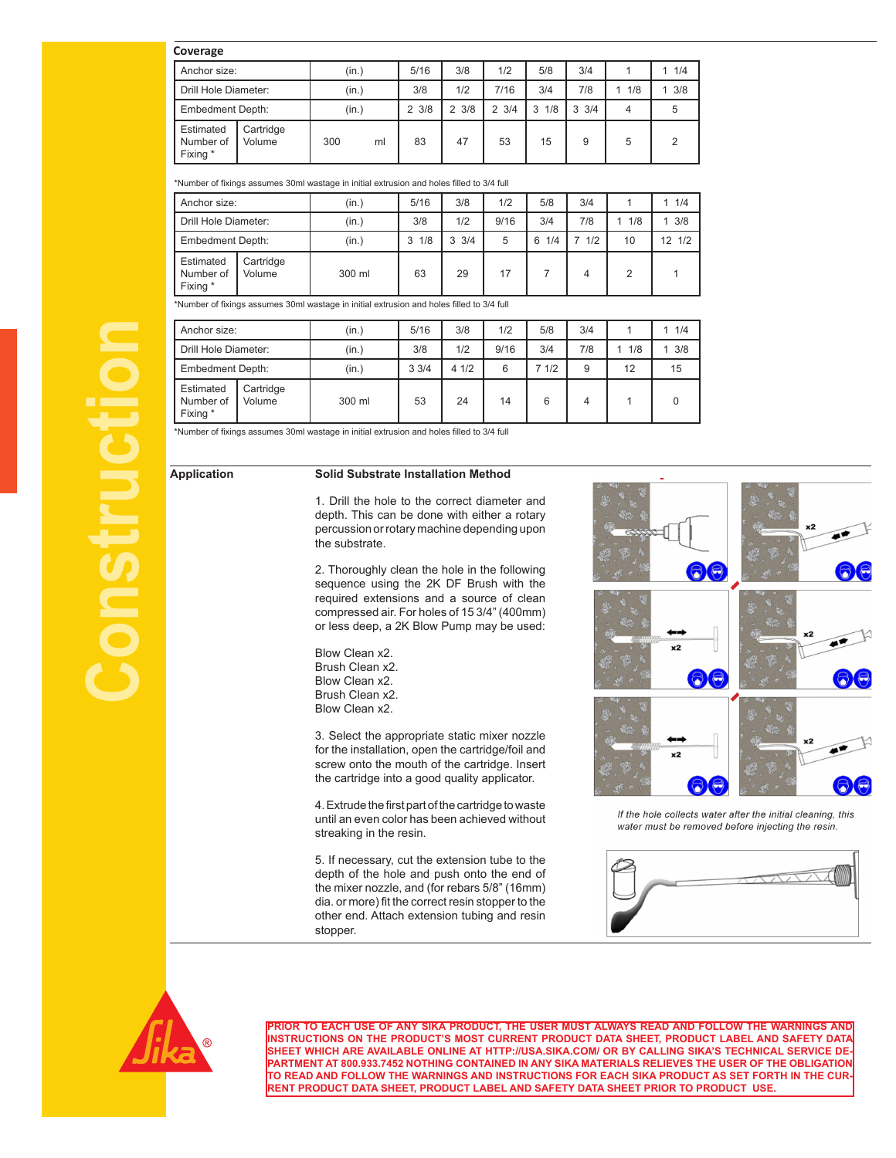### **Coverage**

| Anchor size:                       |                     | (in.) |    | 5/16            | 3/8  | 1/2             | 5/8      | 3/4             |     | 1/4           |
|------------------------------------|---------------------|-------|----|-----------------|------|-----------------|----------|-----------------|-----|---------------|
| Drill Hole Diameter:               |                     | (in.) |    | 3/8             | 1/2  | 7/16            | 3/4      | 7/8             | 1/8 | 3/8           |
| Embedment Depth:                   |                     | (in.) |    | $2 \frac{3}{8}$ | 23/8 | $2 \frac{3}{4}$ | 1/8<br>3 | $3 \frac{3}{4}$ | 4   | 5             |
| Estimated<br>Number of<br>Fixing * | Cartridge<br>Volume | 300   | ml | 83              | 47   | 53              | 15       | 9               | 5   | $\mathcal{P}$ |

\*Number of fixings assumes 30ml wastage in initial extrusion and holes filled to 3/4 full

| Anchor size:                       |                     | (in.)  | 5/16     | 3/8             | 1/2  | 5/8      | 3/4 |     | 1/4              |
|------------------------------------|---------------------|--------|----------|-----------------|------|----------|-----|-----|------------------|
| Drill Hole Diameter:               |                     | (in.)  | 3/8      | 1/2             | 9/16 | 3/4      | 7/8 | 1/8 | 13/8             |
| <b>Embedment Depth:</b>            |                     | (in.)  | 1/8<br>3 | $3 \frac{3}{4}$ | 5    | 1/4<br>6 | 1/2 | 10  | $12 \frac{1}{2}$ |
| Estimated<br>Number of<br>Fixing * | Cartridge<br>Volume | 300 ml | 63       | 29              | 17   |          | 4   | 2   |                  |

\*Number of fixings assumes 30ml wastage in initial extrusion and holes filled to 3/4 full

|  | Anchor size:                       |                     | (in.)                                                                                                                                                          | 5/16 | 3/8  | 1/2  | 5/8  | 3/4 | 1    | 11/4            |  |
|--|------------------------------------|---------------------|----------------------------------------------------------------------------------------------------------------------------------------------------------------|------|------|------|------|-----|------|-----------------|--|
|  | Drill Hole Diameter:               |                     | (in.)                                                                                                                                                          | 3/8  | 1/2  | 9/16 | 3/4  | 7/8 | 11/8 | $1 \frac{3}{8}$ |  |
|  | <b>Embedment Depth:</b>            |                     | (in.)                                                                                                                                                          | 33/4 | 41/2 | 6    | 71/2 | 9   | 12   | 15              |  |
|  | Estimated<br>Number of<br>Fixing * | Cartridge<br>Volume | 300 ml                                                                                                                                                         | 53   | 24   | 14   | 6    | 4   | 1    | 0               |  |
|  |                                    |                     | *Number of fixings assumes 30ml wastage in initial extrusion and holes filled to 3/4 full                                                                      |      |      |      |      |     |      |                 |  |
|  | <b>Application</b>                 |                     | <b>Solid Substrate Installation Method</b>                                                                                                                     |      |      |      |      |     |      |                 |  |
|  |                                    |                     | 1. Drill the hole to the correct diameter and<br>depth. This can be done with either a rotary<br>percussion or rotary machine depending upon<br>the substrate. |      |      |      |      |     |      |                 |  |
|  |                                    |                     | 2. Thoroughly clean the hole in the following<br>sequence using the 2K DF Brush with the                                                                       |      |      |      |      |     |      |                 |  |
|  |                                    |                     | required extensions and a source of clean<br>compressed air. For holes of 15 3/4" (400mm)<br>or less deep, a 2K Blow Pump may be used:                         |      |      |      |      |     |      |                 |  |
|  |                                    |                     | Blow Clean x2.<br>Brush Clean x2.                                                                                                                              |      |      |      | x2   |     |      |                 |  |
|  |                                    |                     | Blow Clean x2<br>Brush Clean x2.                                                                                                                               |      |      |      |      |     |      |                 |  |

Blow Clean x2. Brush Clean x2. Blow Clean x2. Brush Clean x2. Blow Clean x2.

3. Select the appropriate static mixer nozzle for the installation, open the cartridge/foil and screw onto the mouth of the cartridge. Insert the cartridge into a good quality applicator.

4. Extrude the first part of the cartridge to waste until an even color has been achieved without streaking in the resin.

5. If necessary, cut the extension tube to the depth of the hole and push onto the end of the mixer nozzle, and (for rebars 5/8" (16mm) dia. or more) fit the correct resin stopper to the other end. Attach extension tubing and resin stopper.



If the hole collects water after the initial cleaning, this water must be removed before injecting the resin.



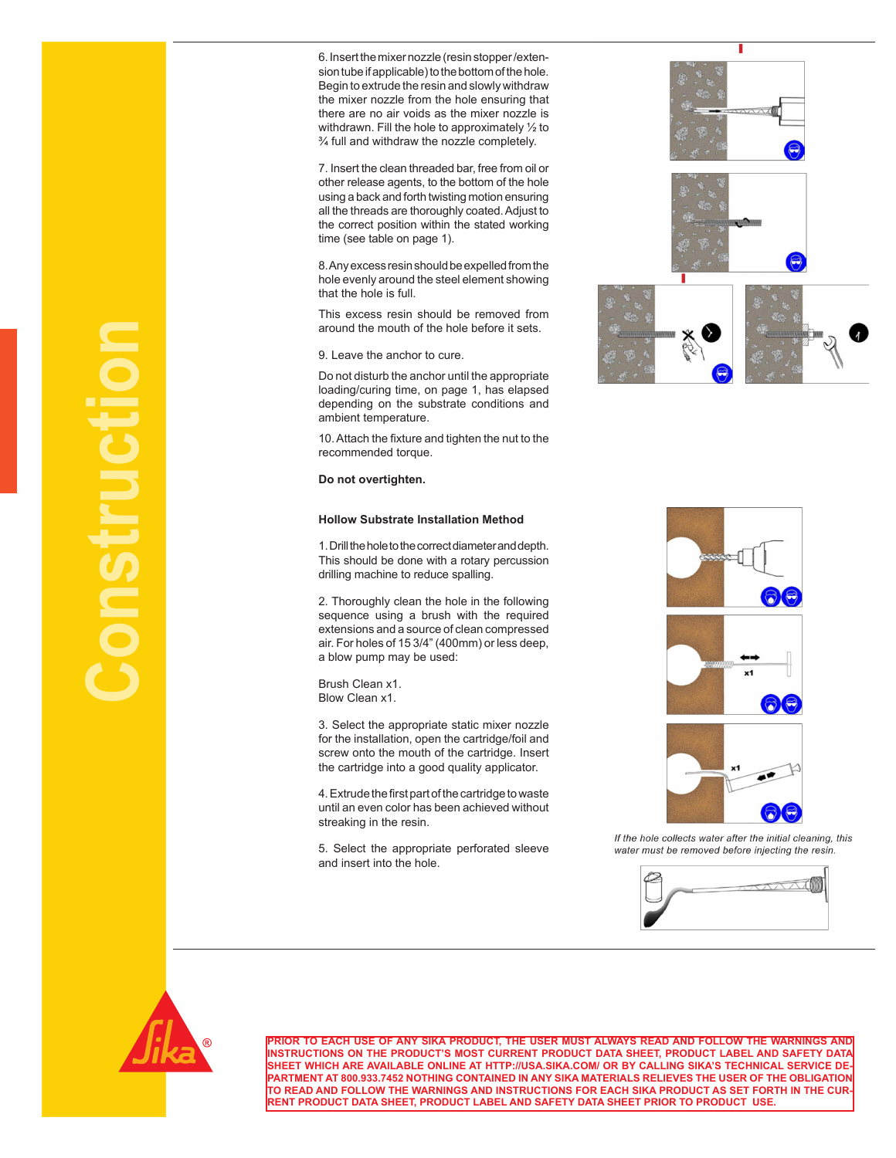6.Insertthemixernozzle(resinstopper/extension tube if applicable) to the bottom of the hole. Begin to extrude the resin and slowly withdraw the mixer nozzle from the hole ensuring that there are no air voids as the mixer nozzle is withdrawn. Fill the hole to approximately ½ to ¾ full and withdraw the nozzle completely.

7. Insert the clean threaded bar, free from oil or other release agents, to the bottom of the hole using a back and forth twisting motion ensuring all the threads are thoroughly coated. Adjust to the correct position within the stated working time (see table on page 1).

8. Any excess resin should be expelled from the hole evenly around the steel element showing that the hole is full.

This excess resin should be removed from around the mouth of the hole before it sets.

9. Leave the anchor to cure.

Do not disturb the anchor until the appropriate loading/curing time, on page 1, has elapsed depending on the substrate conditions and ambient temperature.

10.Attach the fixture and tighten the nut to the recommended torque.

**Do not overtighten.**

# **Hollow Substrate Installation Method**

1. Drill the hole to the correct diameter and depth. This should be done with a rotary percussion drilling machine to reduce spalling.

2. Thoroughly clean the hole in the following sequence using a brush with the required extensions and a source of clean compressed air. For holes of 15 3/4" (400mm) or less deep, a blow pump may be used:

Brush Clean x1. Blow Clean x1.

3. Select the appropriate static mixer nozzle for the installation, open the cartridge/foil and screw onto the mouth of the cartridge. Insert the cartridge into a good quality applicator.

4. Extrude the first part of the cartridge to waste until an even color has been achieved without streaking in the resin.

5. Select the appropriate perforated sleeve and insert into the hole.









If the hole collects water after the initial cleaning, this water must be removed before injecting the resin.